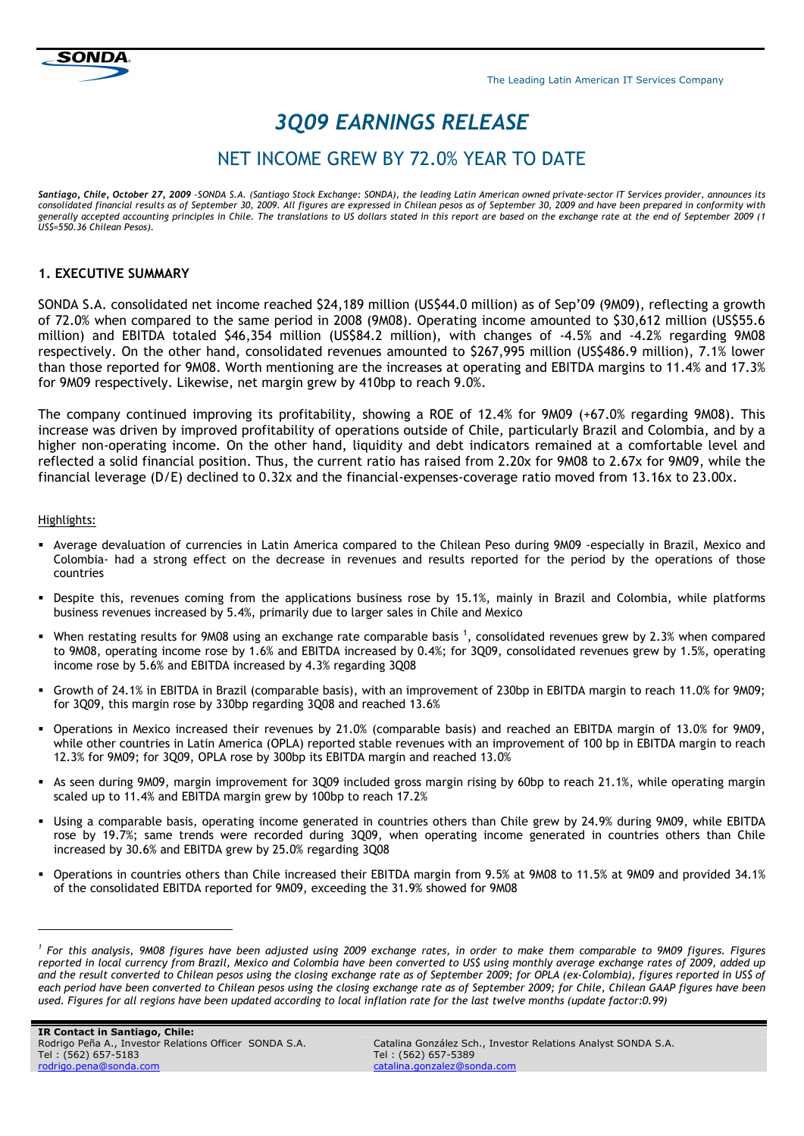# *3Q09 EARNINGS RELEASE*

## NET INCOME GREW BY 72.0% YEAR TO DATE

*Santiago, Chile, October 27, 2009 –SONDA S.A. (Santiago Stock Exchange: SONDA), the leading Latin American owned private-sector IT Services provider, announces its consolidated financial results as of September 30, 2009. All figures are expressed in Chilean pesos as of September 30, 2009 and have been prepared in conformity with generally accepted accounting principles in Chile. The translations to US dollars stated in this report are based on the exchange rate at the end of September 2009 (1 US\$=550.36 Chilean Pesos).* 

## **1. EXECUTIVE SUMMARY**

SONDA S.A. consolidated net income reached \$24,189 million (US\$44.0 million) as of Sep'09 (9M09), reflecting a growth of 72.0% when compared to the same period in 2008 (9M08). Operating income amounted to \$30,612 million (US\$55.6 million) and EBITDA totaled \$46,354 million (US\$84.2 million), with changes of -4.5% and -4.2% regarding 9M08 respectively. On the other hand, consolidated revenues amounted to \$267,995 million (US\$486.9 million), 7.1% lower than those reported for 9M08. Worth mentioning are the increases at operating and EBITDA margins to 11.4% and 17.3% for 9M09 respectively. Likewise, net margin grew by 410bp to reach 9.0%.

The company continued improving its profitability, showing a ROE of 12.4% for 9M09 (+67.0% regarding 9M08). This increase was driven by improved profitability of operations outside of Chile, particularly Brazil and Colombia, and by a higher non-operating income. On the other hand, liquidity and debt indicators remained at a comfortable level and reflected a solid financial position. Thus, the current ratio has raised from 2.20x for 9M08 to 2.67x for 9M09, while the financial leverage (D/E) declined to 0.32x and the financial-expenses-coverage ratio moved from 13.16x to 23.00x.

#### Highlights:

l

- Average devaluation of currencies in Latin America compared to the Chilean Peso during 9M09 -especially in Brazil, Mexico and Colombia- had a strong effect on the decrease in revenues and results reported for the period by the operations of those countries
- Despite this, revenues coming from the applications business rose by 15.1%, mainly in Brazil and Colombia, while platforms business revenues increased by 5.4%, primarily due to larger sales in Chile and Mexico
- $\bullet$  When restating results for 9M08 using an exchange rate comparable basis <sup>1</sup>, consolidated revenues grew by 2.3% when compared to 9M08, operating income rose by 1.6% and EBITDA increased by 0.4%; for 3Q09, consolidated revenues grew by 1.5%, operating income rose by 5.6% and EBITDA increased by 4.3% regarding 3Q08
- Growth of 24.1% in EBITDA in Brazil (comparable basis), with an improvement of 230bp in EBITDA margin to reach 11.0% for 9M09; for 3Q09, this margin rose by 330bp regarding 3Q08 and reached 13.6%
- Operations in Mexico increased their revenues by 21.0% (comparable basis) and reached an EBITDA margin of 13.0% for 9M09, while other countries in Latin America (OPLA) reported stable revenues with an improvement of 100 bp in EBITDA margin to reach 12.3% for 9M09; for 3Q09, OPLA rose by 300bp its EBITDA margin and reached 13.0%
- As seen during 9M09, margin improvement for 3Q09 included gross margin rising by 60bp to reach 21.1%, while operating margin scaled up to 11.4% and EBITDA margin grew by 100bp to reach 17.2%
- Using a comparable basis, operating income generated in countries others than Chile grew by 24.9% during 9M09, while EBITDA rose by 19.7%; same trends were recorded during 3Q09, when operating income generated in countries others than Chile increased by 30.6% and EBITDA grew by 25.0% regarding 3Q08
- Operations in countries others than Chile increased their EBITDA margin from 9.5% at 9M08 to 11.5% at 9M09 and provided 34.1% of the consolidated EBITDA reported for 9M09, exceeding the 31.9% showed for 9M08

<sup>&</sup>lt;sup>1</sup> For this analysis, 9M08 figures have been adjusted using 2009 exchange rates, in order to make them comparable to 9M09 figures. Figures *reported in local currency from Brazil, Mexico and Colombia have been converted to US\$ using monthly average exchange rates of 2009, added up and the result converted to Chilean pesos using the closing exchange rate as of September 2009; for OPLA (ex-Colombia), figures reported in US\$ of each period have been converted to Chilean pesos using the closing exchange rate as of September 2009; for Chile, Chilean GAAP figures have been used. Figures for all regions have been updated according to local inflation rate for the last twelve months (update factor:0.99)*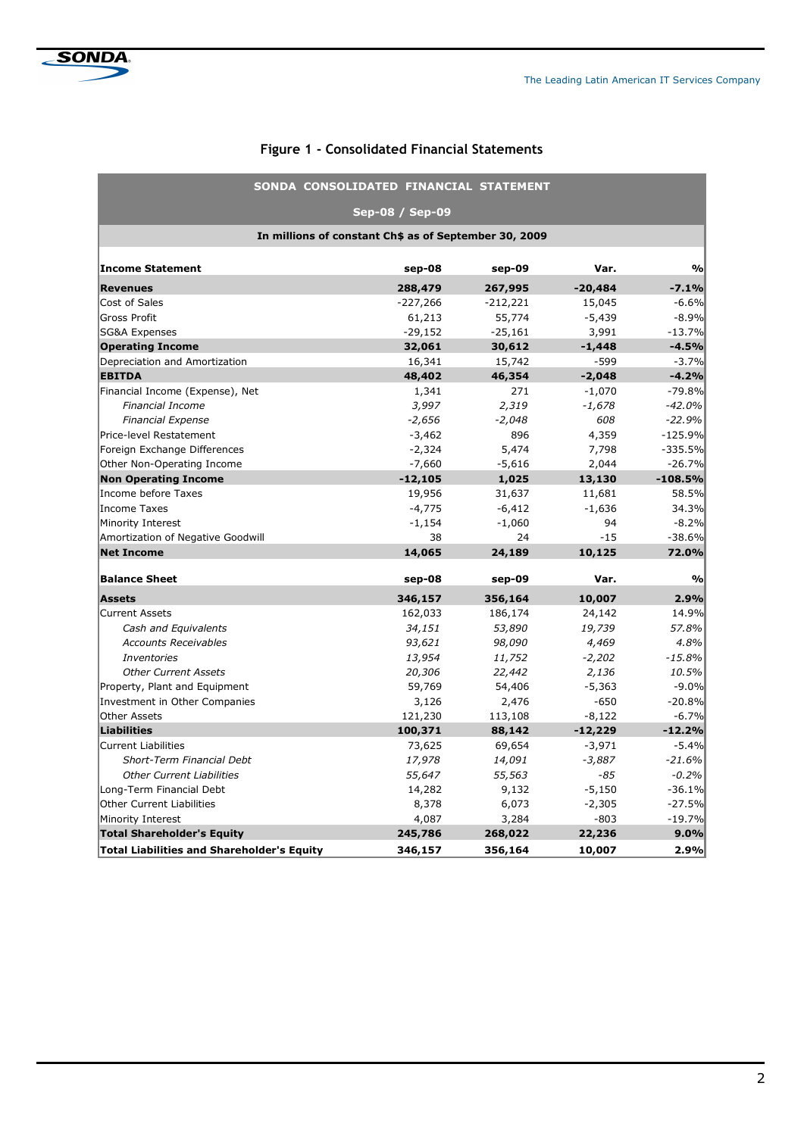| <b>Figure 1 - Consolidated Financial Statements</b> |
|-----------------------------------------------------|
|-----------------------------------------------------|

|                                                       | SONDA CONSOLIDATED FINANCIAL STATEMENT |            |           |               |  |  |  |  |  |  |
|-------------------------------------------------------|----------------------------------------|------------|-----------|---------------|--|--|--|--|--|--|
| Sep-08 / Sep-09                                       |                                        |            |           |               |  |  |  |  |  |  |
| In millions of constant Ch\$ as of September 30, 2009 |                                        |            |           |               |  |  |  |  |  |  |
| <b>Income Statement</b>                               | sep-08                                 | sep-09     | Var.      | $\frac{0}{0}$ |  |  |  |  |  |  |
| <b>Revenues</b>                                       | 288,479                                | 267,995    | $-20,484$ | $-7.1%$       |  |  |  |  |  |  |
| Cost of Sales                                         | $-227,266$                             | $-212,221$ | 15,045    | $-6.6%$       |  |  |  |  |  |  |
| <b>Gross Profit</b>                                   | 61,213                                 | 55,774     | $-5,439$  | $-8.9%$       |  |  |  |  |  |  |
| <b>SG&amp;A Expenses</b>                              | $-29,152$                              | $-25,161$  | 3,991     | $-13.7%$      |  |  |  |  |  |  |
| <b>Operating Income</b>                               | 32,061                                 | 30,612     | $-1,448$  | $-4.5%$       |  |  |  |  |  |  |
| Depreciation and Amortization                         | 16,341                                 | 15,742     | $-599$    | $-3.7%$       |  |  |  |  |  |  |
| <b>EBITDA</b>                                         | 48,402                                 | 46,354     | $-2,048$  | $-4.2%$       |  |  |  |  |  |  |
| Financial Income (Expense), Net                       | 1,341                                  | 271        | $-1,070$  | $-79.8%$      |  |  |  |  |  |  |
| <b>Financial Income</b>                               | 3,997                                  | 2,319      | $-1,678$  | $-42.0%$      |  |  |  |  |  |  |
| <b>Financial Expense</b>                              | $-2,656$                               | $-2,048$   | 608       | $-22.9%$      |  |  |  |  |  |  |
| Price-level Restatement                               | $-3,462$                               | 896        | 4,359     | $-125.9%$     |  |  |  |  |  |  |
| Foreign Exchange Differences                          | $-2,324$                               | 5,474      | 7,798     | $-335.5%$     |  |  |  |  |  |  |
| Other Non-Operating Income                            | $-7,660$                               | $-5,616$   | 2,044     | $-26.7%$      |  |  |  |  |  |  |
| <b>Non Operating Income</b>                           | $-12,105$                              | 1,025      | 13,130    | $-108.5%$     |  |  |  |  |  |  |
| Income before Taxes                                   | 19,956                                 | 31,637     | 11,681    | 58.5%         |  |  |  |  |  |  |
| <b>Income Taxes</b>                                   | $-4,775$                               | $-6,412$   | $-1,636$  | 34.3%         |  |  |  |  |  |  |
| Minority Interest                                     | $-1,154$                               | $-1,060$   | 94        | $-8.2%$       |  |  |  |  |  |  |
| Amortization of Negative Goodwill                     | 38                                     | 24         | $-15$     | $-38.6%$      |  |  |  |  |  |  |
| <b>Net Income</b>                                     | 14,065                                 | 24,189     | 10,125    | 72.0%         |  |  |  |  |  |  |
| <b>Balance Sheet</b>                                  | sep-08                                 | sep-09     | Var.      | $\frac{0}{0}$ |  |  |  |  |  |  |
| <b>Assets</b>                                         | 346,157                                | 356,164    | 10,007    | 2.9%          |  |  |  |  |  |  |
| <b>Current Assets</b>                                 | 162,033                                | 186,174    | 24,142    | 14.9%         |  |  |  |  |  |  |
| Cash and Equivalents                                  | 34,151                                 | 53,890     | 19,739    | 57.8%         |  |  |  |  |  |  |
| <b>Accounts Receivables</b>                           | 93,621                                 | 98,090     | 4,469     | 4.8%          |  |  |  |  |  |  |
| <b>Inventories</b>                                    | 13,954                                 | 11,752     | $-2,202$  | $-15.8%$      |  |  |  |  |  |  |
| <b>Other Current Assets</b>                           | 20,306                                 | 22,442     | 2,136     | 10.5%         |  |  |  |  |  |  |
| Property, Plant and Equipment                         | 59,769                                 | 54,406     | $-5,363$  | $-9.0%$       |  |  |  |  |  |  |
| Investment in Other Companies                         | 3,126                                  | 2,476      | $-650$    | $-20.8%$      |  |  |  |  |  |  |
| <b>Other Assets</b>                                   | 121,230                                | 113,108    | $-8,122$  | $-6.7%$       |  |  |  |  |  |  |
| <b>Liabilities</b>                                    | 100,371                                | 88,142     | $-12,229$ | $-12.2%$      |  |  |  |  |  |  |
| <b>Current Liabilities</b>                            | 73,625                                 | 69,654     | $-3,971$  | $-5.4%$       |  |  |  |  |  |  |
| Short-Term Financial Debt                             | 17,978                                 | 14,091     | $-3,887$  | $-21.6%$      |  |  |  |  |  |  |
| <b>Other Current Liabilities</b>                      | 55,647                                 | 55,563     | -85       | $-0.2%$       |  |  |  |  |  |  |
| Long-Term Financial Debt                              | 14,282                                 | 9,132      | $-5,150$  | $-36.1%$      |  |  |  |  |  |  |
| <b>Other Current Liabilities</b>                      | 8,378                                  | 6,073      | $-2,305$  | $-27.5%$      |  |  |  |  |  |  |
| Minority Interest                                     | 4,087                                  | 3,284      | $-803$    | $-19.7%$      |  |  |  |  |  |  |
| <b>Total Shareholder's Equity</b>                     | 245,786                                | 268,022    | 22,236    | 9.0%          |  |  |  |  |  |  |
| <b>Total Liabilities and Shareholder's Equity</b>     | 346,157                                | 356,164    | 10,007    | 2.9%          |  |  |  |  |  |  |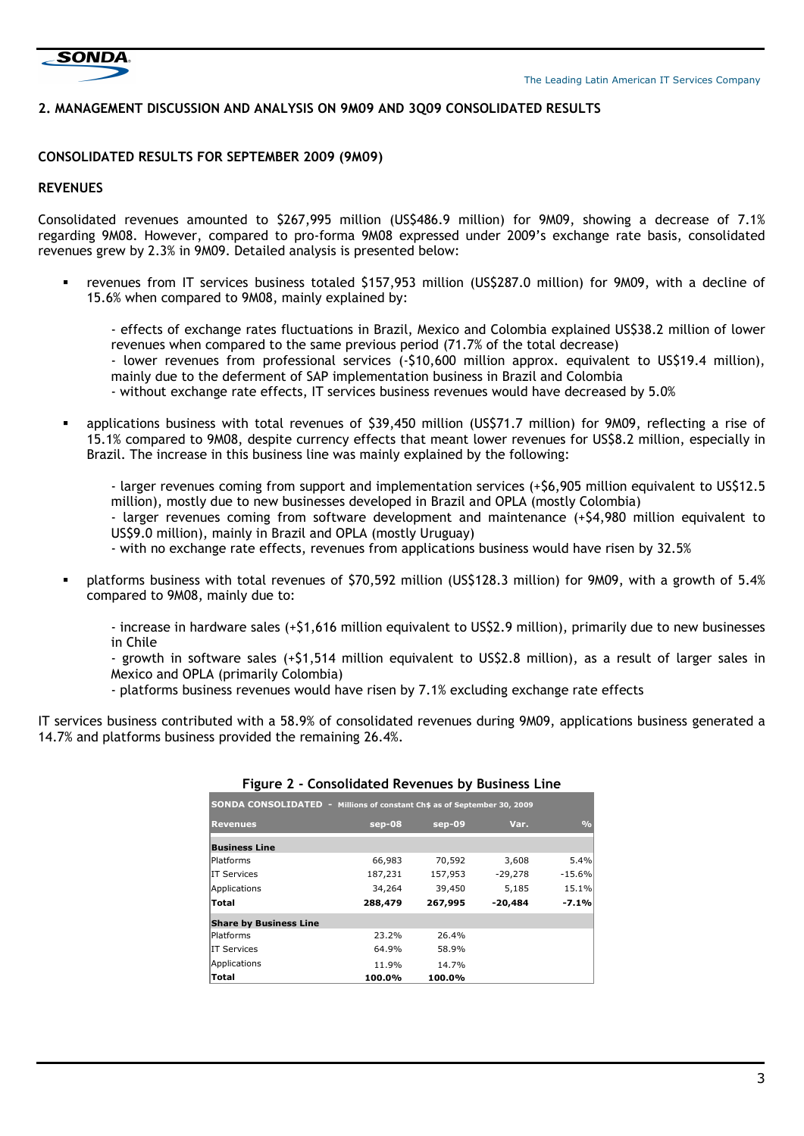

## **2. MANAGEMENT DISCUSSION AND ANALYSIS ON 9M09 AND 3Q09 CONSOLIDATED RESULTS**

#### **CONSOLIDATED RESULTS FOR SEPTEMBER 2009 (9M09)**

## **REVENUES**

Consolidated revenues amounted to \$267,995 million (US\$486.9 million) for 9M09, showing a decrease of 7.1% regarding 9M08. However, compared to pro-forma 9M08 expressed under 2009's exchange rate basis, consolidated revenues grew by 2.3% in 9M09. Detailed analysis is presented below:

 revenues from IT services business totaled \$157,953 million (US\$287.0 million) for 9M09, with a decline of 15.6% when compared to 9M08, mainly explained by:

- effects of exchange rates fluctuations in Brazil, Mexico and Colombia explained US\$38.2 million of lower revenues when compared to the same previous period (71.7% of the total decrease)

- lower revenues from professional services (-\$10,600 million approx. equivalent to US\$19.4 million), mainly due to the deferment of SAP implementation business in Brazil and Colombia
- without exchange rate effects, IT services business revenues would have decreased by 5.0%
- applications business with total revenues of \$39,450 million (US\$71.7 million) for 9M09, reflecting a rise of 15.1% compared to 9M08, despite currency effects that meant lower revenues for US\$8.2 million, especially in Brazil. The increase in this business line was mainly explained by the following:

- larger revenues coming from support and implementation services (+\$6,905 million equivalent to US\$12.5 million), mostly due to new businesses developed in Brazil and OPLA (mostly Colombia)

- larger revenues coming from software development and maintenance (+\$4,980 million equivalent to US\$9.0 million), mainly in Brazil and OPLA (mostly Uruguay)

- with no exchange rate effects, revenues from applications business would have risen by 32.5%

 platforms business with total revenues of \$70,592 million (US\$128.3 million) for 9M09, with a growth of 5.4% compared to 9M08, mainly due to:

- increase in hardware sales (+\$1,616 million equivalent to US\$2.9 million), primarily due to new businesses in Chile

- growth in software sales (+\$1,514 million equivalent to US\$2.8 million), as a result of larger sales in Mexico and OPLA (primarily Colombia)
- platforms business revenues would have risen by 7.1% excluding exchange rate effects

IT services business contributed with a 58.9% of consolidated revenues during 9M09, applications business generated a 14.7% and platforms business provided the remaining 26.4%.

| <b>SONDA CONSOLIDATED - Millions of constant Ch\$ as of September 30, 2009</b> |         |          |           |               |  |  |  |  |  |  |
|--------------------------------------------------------------------------------|---------|----------|-----------|---------------|--|--|--|--|--|--|
| <b>Revenues</b>                                                                | sep-08  | $sep-09$ | Var.      | $\frac{0}{0}$ |  |  |  |  |  |  |
| <b>Business Line</b>                                                           |         |          |           |               |  |  |  |  |  |  |
| Platforms                                                                      | 66,983  | 70,592   | 3,608     | 5.4%          |  |  |  |  |  |  |
| <b>IT Services</b>                                                             | 187,231 | 157,953  | $-29,278$ | $-15.6%$      |  |  |  |  |  |  |
| Applications                                                                   | 34,264  | 39,450   | 5,185     | 15.1%         |  |  |  |  |  |  |
| Total                                                                          | 288,479 | 267,995  | $-20.484$ | $-7.1%$       |  |  |  |  |  |  |
| <b>Share by Business Line</b>                                                  |         |          |           |               |  |  |  |  |  |  |
| Platforms                                                                      | 23.2%   | 26.4%    |           |               |  |  |  |  |  |  |
| <b>IT Services</b>                                                             | 64.9%   | 58.9%    |           |               |  |  |  |  |  |  |
| Applications                                                                   | 11.9%   | 14.7%    |           |               |  |  |  |  |  |  |
| Total                                                                          | 100.0%  | 100.0%   |           |               |  |  |  |  |  |  |

## **Figure 2 - Consolidated Revenues by Business Line**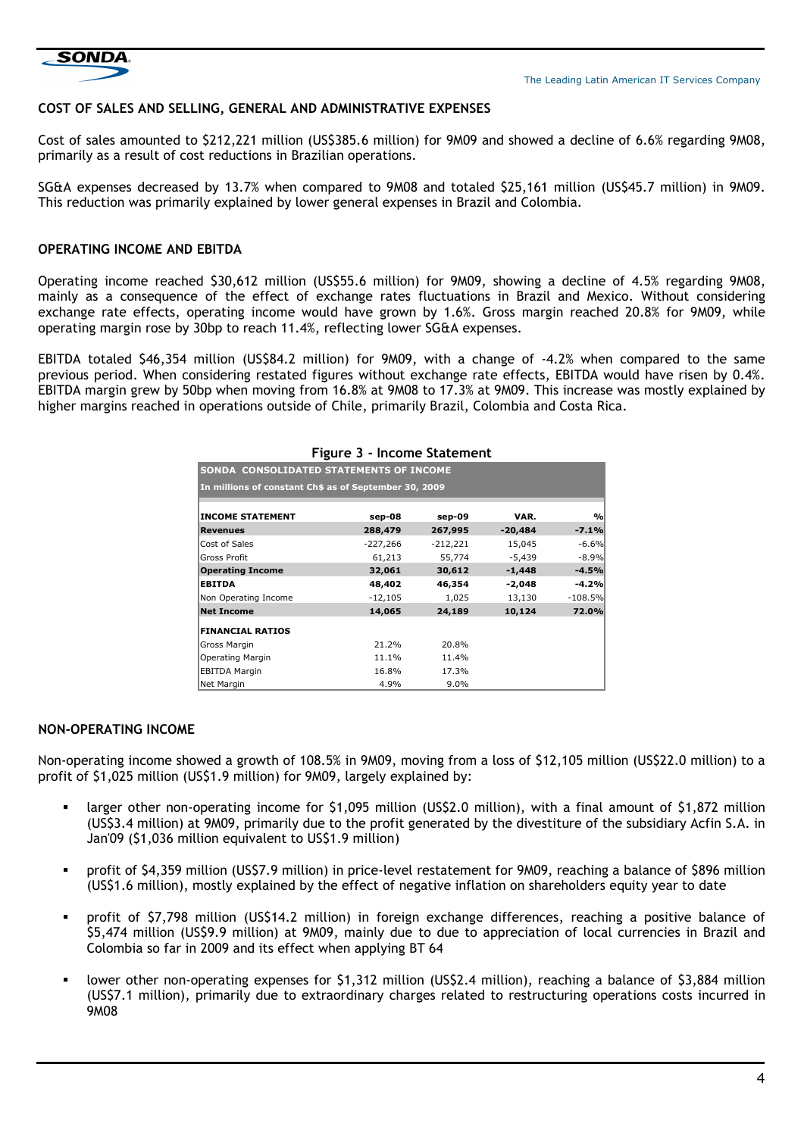

## **COST OF SALES AND SELLING, GENERAL AND ADMINISTRATIVE EXPENSES**

Cost of sales amounted to \$212,221 million (US\$385.6 million) for 9M09 and showed a decline of 6.6% regarding 9M08, primarily as a result of cost reductions in Brazilian operations.

SG&A expenses decreased by 13.7% when compared to 9M08 and totaled \$25,161 million (US\$45.7 million) in 9M09. This reduction was primarily explained by lower general expenses in Brazil and Colombia.

## **OPERATING INCOME AND EBITDA**

Operating income reached \$30,612 million (US\$55.6 million) for 9M09, showing a decline of 4.5% regarding 9M08, mainly as a consequence of the effect of exchange rates fluctuations in Brazil and Mexico. Without considering exchange rate effects, operating income would have grown by 1.6%. Gross margin reached 20.8% for 9M09, while operating margin rose by 30bp to reach 11.4%, reflecting lower SG&A expenses.

EBITDA totaled \$46,354 million (US\$84.2 million) for 9M09, with a change of -4.2% when compared to the same previous period. When considering restated figures without exchange rate effects, EBITDA would have risen by 0.4%. EBITDA margin grew by 50bp when moving from 16.8% at 9M08 to 17.3% at 9M09. This increase was mostly explained by higher margins reached in operations outside of Chile, primarily Brazil, Colombia and Costa Rica.

| <b>I kult 3 - Ilicollie Statellieft</b>               |            |            |           |                |  |  |  |  |  |  |  |  |
|-------------------------------------------------------|------------|------------|-----------|----------------|--|--|--|--|--|--|--|--|
| SONDA CONSOLIDATED STATEMENTS OF INCOME               |            |            |           |                |  |  |  |  |  |  |  |  |
| In millions of constant Ch\$ as of September 30, 2009 |            |            |           |                |  |  |  |  |  |  |  |  |
|                                                       |            |            |           |                |  |  |  |  |  |  |  |  |
| <b>INCOME STATEMENT</b>                               | sep-08     | sep-09     | VAR.      | O <sub>0</sub> |  |  |  |  |  |  |  |  |
| <b>Revenues</b>                                       | 288,479    | 267,995    | $-20,484$ | $-7.1%$        |  |  |  |  |  |  |  |  |
| Cost of Sales                                         | $-227,266$ | $-212,221$ | 15,045    | $-6.6%$        |  |  |  |  |  |  |  |  |
| <b>Gross Profit</b>                                   | 61,213     | 55,774     | $-5,439$  | $-8.9%$        |  |  |  |  |  |  |  |  |
| <b>Operating Income</b>                               | 32,061     | 30,612     | $-1,448$  | $-4.5%$        |  |  |  |  |  |  |  |  |
| <b>EBITDA</b>                                         | 48,402     | 46,354     | -2,048    | -4.2%          |  |  |  |  |  |  |  |  |
| Non Operating Income                                  | $-12,105$  | 1,025      | 13,130    | $-108.5%$      |  |  |  |  |  |  |  |  |
| <b>Net Income</b>                                     | 14,065     | 24,189     | 10,124    | 72.0%          |  |  |  |  |  |  |  |  |
| <b>FINANCIAL RATIOS</b>                               |            |            |           |                |  |  |  |  |  |  |  |  |
| Gross Margin                                          | 21.2%      | 20.8%      |           |                |  |  |  |  |  |  |  |  |
| <b>Operating Margin</b>                               | 11.1%      | 11.4%      |           |                |  |  |  |  |  |  |  |  |
| <b>EBITDA Margin</b>                                  | 16.8%      | 17.3%      |           |                |  |  |  |  |  |  |  |  |
| Net Margin                                            | 4.9%       | $9.0\%$    |           |                |  |  |  |  |  |  |  |  |

#### **Figure 3 - Income Statement**

#### **NON-OPERATING INCOME**

Non-operating income showed a growth of 108.5% in 9M09, moving from a loss of \$12,105 million (US\$22.0 million) to a profit of \$1,025 million (US\$1.9 million) for 9M09, largely explained by:

- larger other non-operating income for \$1,095 million (US\$2.0 million), with a final amount of \$1,872 million (US\$3.4 million) at 9M09, primarily due to the profit generated by the divestiture of the subsidiary Acfin S.A. in Jan'09 (\$1,036 million equivalent to US\$1.9 million)
- profit of \$4,359 million (US\$7.9 million) in price-level restatement for 9M09, reaching a balance of \$896 million (US\$1.6 million), mostly explained by the effect of negative inflation on shareholders equity year to date
- profit of \$7,798 million (US\$14.2 million) in foreign exchange differences, reaching a positive balance of \$5,474 million (US\$9.9 million) at 9M09, mainly due to due to appreciation of local currencies in Brazil and Colombia so far in 2009 and its effect when applying BT 64
- lower other non-operating expenses for \$1,312 million (US\$2.4 million), reaching a balance of \$3,884 million (US\$7.1 million), primarily due to extraordinary charges related to restructuring operations costs incurred in 9M08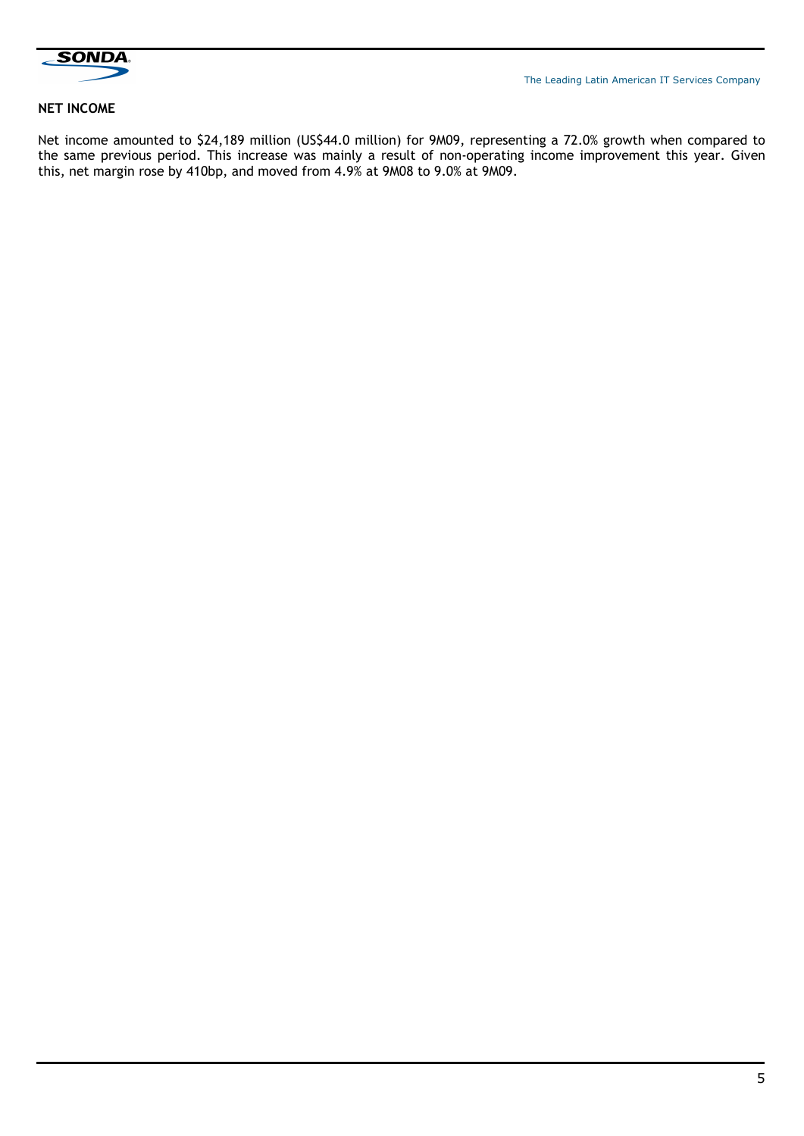

## **NET INCOME**

Net income amounted to \$24,189 million (US\$44.0 million) for 9M09, representing a 72.0% growth when compared to the same previous period. This increase was mainly a result of non-operating income improvement this year. Given this, net margin rose by 410bp, and moved from 4.9% at 9M08 to 9.0% at 9M09.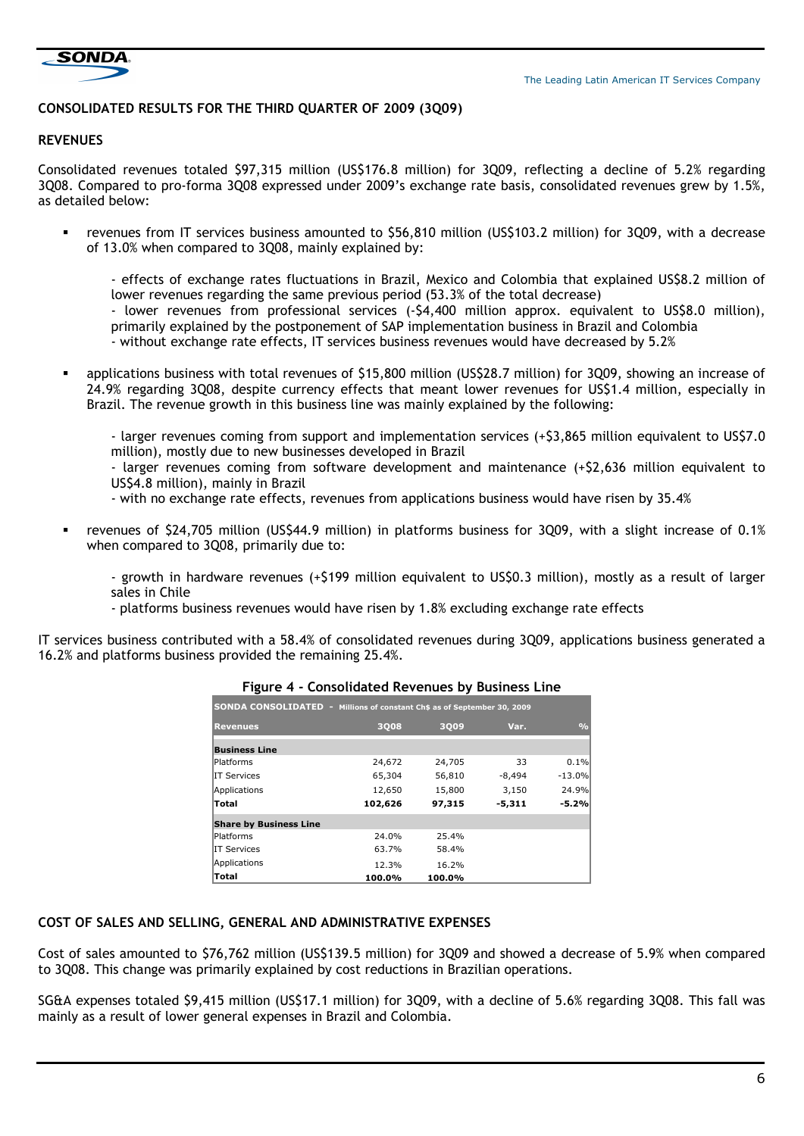

## **CONSOLIDATED RESULTS FOR THE THIRD QUARTER OF 2009 (3Q09)**

## **REVENUES**

Consolidated revenues totaled \$97,315 million (US\$176.8 million) for 3Q09, reflecting a decline of 5.2% regarding 3Q08. Compared to pro-forma 3Q08 expressed under 2009's exchange rate basis, consolidated revenues grew by 1.5%, as detailed below:

 revenues from IT services business amounted to \$56,810 million (US\$103.2 million) for 3Q09, with a decrease of 13.0% when compared to 3Q08, mainly explained by:

- effects of exchange rates fluctuations in Brazil, Mexico and Colombia that explained US\$8.2 million of lower revenues regarding the same previous period (53.3% of the total decrease)

- lower revenues from professional services (-\$4,400 million approx. equivalent to US\$8.0 million), primarily explained by the postponement of SAP implementation business in Brazil and Colombia

- without exchange rate effects, IT services business revenues would have decreased by 5.2%

 applications business with total revenues of \$15,800 million (US\$28.7 million) for 3Q09, showing an increase of 24.9% regarding 3Q08, despite currency effects that meant lower revenues for US\$1.4 million, especially in Brazil. The revenue growth in this business line was mainly explained by the following:

- larger revenues coming from support and implementation services (+\$3,865 million equivalent to US\$7.0 million), mostly due to new businesses developed in Brazil

- larger revenues coming from software development and maintenance (+\$2,636 million equivalent to US\$4.8 million), mainly in Brazil

- with no exchange rate effects, revenues from applications business would have risen by 35.4%
- revenues of \$24,705 million (US\$44.9 million) in platforms business for 3Q09, with a slight increase of 0.1% when compared to 3Q08, primarily due to:
	- growth in hardware revenues (+\$199 million equivalent to US\$0.3 million), mostly as a result of larger sales in Chile
	- platforms business revenues would have risen by 1.8% excluding exchange rate effects

IT services business contributed with a 58.4% of consolidated revenues during 3Q09, applications business generated a 16.2% and platforms business provided the remaining 25.4%.

|                               | <b>SONDA CONSOLIDATED - Millions of constant Ch\$ as of September 30, 2009</b> |               |          |          |  |  |  |  |  |  |  |
|-------------------------------|--------------------------------------------------------------------------------|---------------|----------|----------|--|--|--|--|--|--|--|
| <b>Revenues</b>               | 3008                                                                           | $\frac{0}{0}$ |          |          |  |  |  |  |  |  |  |
| <b>Business Line</b>          |                                                                                |               |          |          |  |  |  |  |  |  |  |
| lPlatforms                    | 24,672                                                                         | 24,705        | 33       | 0.1%     |  |  |  |  |  |  |  |
| IIT Services                  | 65,304                                                                         | 56,810        | -8,494   | $-13.0%$ |  |  |  |  |  |  |  |
| Applications                  | 12,650                                                                         | 15,800        | 3,150    | 24.9%    |  |  |  |  |  |  |  |
| <b>Total</b>                  | 102,626                                                                        | 97,315        | $-5,311$ | $-5.2%$  |  |  |  |  |  |  |  |
| <b>Share by Business Line</b> |                                                                                |               |          |          |  |  |  |  |  |  |  |
| Platforms                     | 24.0%                                                                          | 25.4%         |          |          |  |  |  |  |  |  |  |
| IIT Services                  | 63.7%                                                                          | 58.4%         |          |          |  |  |  |  |  |  |  |
| Applications                  | 12.3%                                                                          | 16.2%         |          |          |  |  |  |  |  |  |  |
| Total                         | 100.0%                                                                         | 100.0%        |          |          |  |  |  |  |  |  |  |

## **Figure 4 - Consolidated Revenues by Business Line**

## **COST OF SALES AND SELLING, GENERAL AND ADMINISTRATIVE EXPENSES**

Cost of sales amounted to \$76,762 million (US\$139.5 million) for 3Q09 and showed a decrease of 5.9% when compared to 3Q08. This change was primarily explained by cost reductions in Brazilian operations.

SG&A expenses totaled \$9,415 million (US\$17.1 million) for 3Q09, with a decline of 5.6% regarding 3Q08. This fall was mainly as a result of lower general expenses in Brazil and Colombia.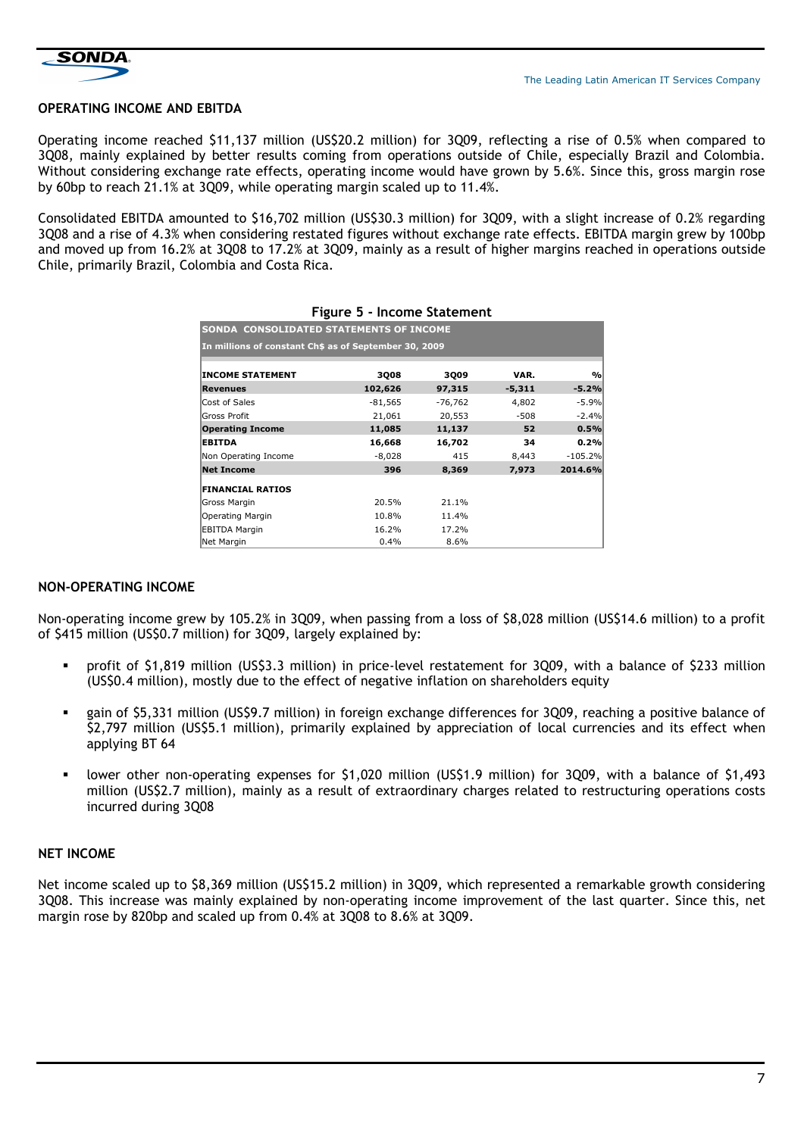

## **OPERATING INCOME AND EBITDA**

Operating income reached \$11,137 million (US\$20.2 million) for 3Q09, reflecting a rise of 0.5% when compared to 3Q08, mainly explained by better results coming from operations outside of Chile, especially Brazil and Colombia. Without considering exchange rate effects, operating income would have grown by 5.6%. Since this, gross margin rose by 60bp to reach 21.1% at 3009, while operating margin scaled up to 11.4%.

Consolidated EBITDA amounted to \$16,702 million (US\$30.3 million) for 3Q09, with a slight increase of 0.2% regarding 3Q08 and a rise of 4.3% when considering restated figures without exchange rate effects. EBITDA margin grew by 100bp and moved up from 16.2% at 3Q08 to 17.2% at 3Q09, mainly as a result of higher margins reached in operations outside Chile, primarily Brazil, Colombia and Costa Rica.

| SONDA CONSOLIDATED STATEMENTS OF INCOME               |           |         |          |               |  |  |  |  |  |  |
|-------------------------------------------------------|-----------|---------|----------|---------------|--|--|--|--|--|--|
| In millions of constant Ch\$ as of September 30, 2009 |           |         |          |               |  |  |  |  |  |  |
| <b>INCOME STATEMENT</b>                               | 3008      | 3009    | VAR.     | $\frac{9}{6}$ |  |  |  |  |  |  |
| <b>Revenues</b>                                       | 102,626   | 97,315  | $-5,311$ | $-5.2%$       |  |  |  |  |  |  |
| Cost of Sales                                         | $-81,565$ | -76,762 | 4,802    | $-5.9%$       |  |  |  |  |  |  |
| <b>Gross Profit</b>                                   | 21,061    | 20,553  | $-508$   | $-2.4%$       |  |  |  |  |  |  |
| <b>Operating Income</b>                               | 11,085    | 11,137  | 52       | 0.5%          |  |  |  |  |  |  |
| <b>EBITDA</b>                                         | 16,668    | 16,702  | 34       | 0.2%          |  |  |  |  |  |  |
| Non Operating Income                                  | $-8,028$  | 415     | 8,443    | $-105.2%$     |  |  |  |  |  |  |
| <b>Net Income</b>                                     | 396       | 8,369   | 7,973    | 2014.6%       |  |  |  |  |  |  |
| <b>FINANCIAL RATIOS</b>                               |           |         |          |               |  |  |  |  |  |  |
| Gross Margin                                          | 20.5%     | 21.1%   |          |               |  |  |  |  |  |  |
| Operating Margin                                      | 10.8%     | 11.4%   |          |               |  |  |  |  |  |  |
| <b>EBITDA Margin</b>                                  | 16.2%     | 17.2%   |          |               |  |  |  |  |  |  |
| Net Margin                                            | $0.4\%$   | 8.6%    |          |               |  |  |  |  |  |  |

#### **Figure 5 - Income Statement**

## **NON-OPERATING INCOME**

Non-operating income grew by 105.2% in 3Q09, when passing from a loss of \$8,028 million (US\$14.6 million) to a profit of \$415 million (US\$0.7 million) for 3Q09, largely explained by:

- profit of \$1,819 million (US\$3.3 million) in price-level restatement for 3Q09, with a balance of \$233 million (US\$0.4 million), mostly due to the effect of negative inflation on shareholders equity
- gain of \$5,331 million (US\$9.7 million) in foreign exchange differences for 3Q09, reaching a positive balance of \$2,797 million (US\$5.1 million), primarily explained by appreciation of local currencies and its effect when applying BT 64
- lower other non-operating expenses for \$1,020 million (US\$1.9 million) for 3Q09, with a balance of \$1,493 million (US\$2.7 million), mainly as a result of extraordinary charges related to restructuring operations costs incurred during 3Q08

## **NET INCOME**

Net income scaled up to \$8,369 million (US\$15.2 million) in 3Q09, which represented a remarkable growth considering 3Q08. This increase was mainly explained by non-operating income improvement of the last quarter. Since this, net margin rose by 820bp and scaled up from 0.4% at 3Q08 to 8.6% at 3Q09.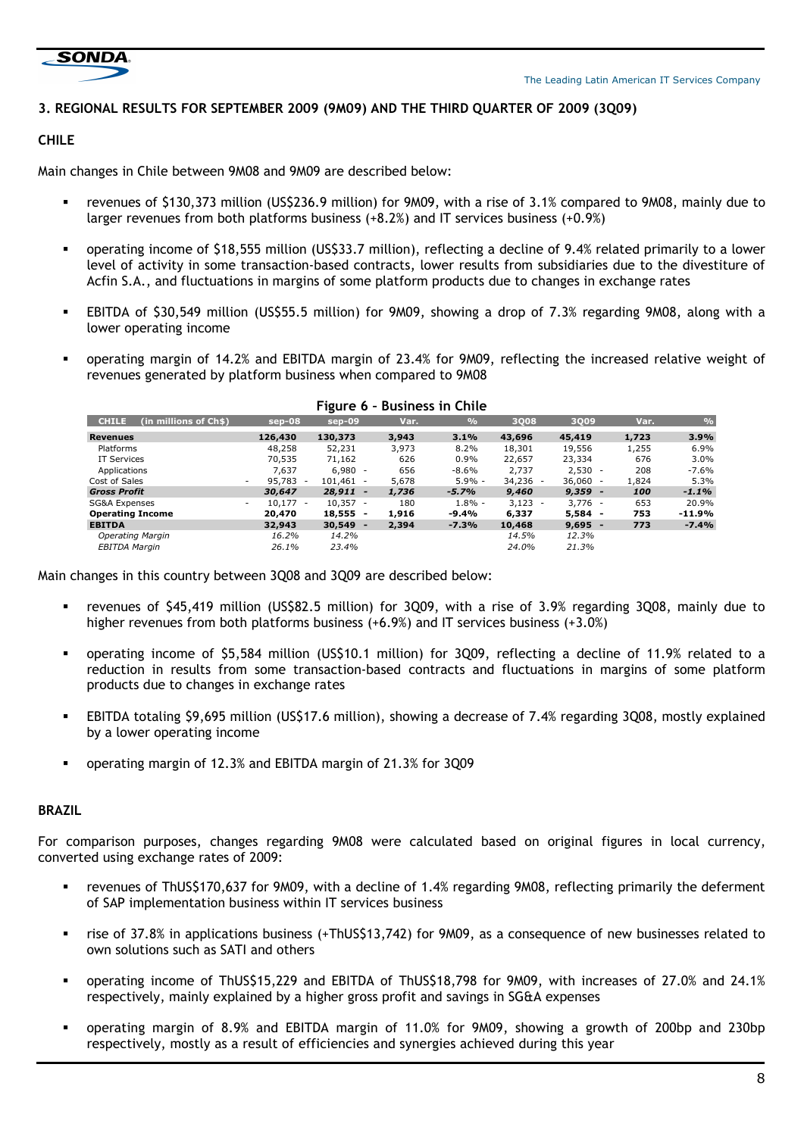

## **3. REGIONAL RESULTS FOR SEPTEMBER 2009 (9M09) AND THE THIRD QUARTER OF 2009 (3Q09)**

## **CHILE**

Main changes in Chile between 9M08 and 9M09 are described below:

- revenues of \$130,373 million (US\$236.9 million) for 9M09, with a rise of 3.1% compared to 9M08, mainly due to larger revenues from both platforms business (+8.2%) and IT services business (+0.9%)
- operating income of \$18,555 million (US\$33.7 million), reflecting a decline of 9.4% related primarily to a lower level of activity in some transaction-based contracts, lower results from subsidiaries due to the divestiture of Acfin S.A., and fluctuations in margins of some platform products due to changes in exchange rates
- EBITDA of \$30,549 million (US\$55.5 million) for 9M09, showing a drop of 7.3% regarding 9M08, along with a lower operating income
- operating margin of 14.2% and EBITDA margin of 23.4% for 9M09, reflecting the increased relative weight of revenues generated by platform business when compared to 9M08

|                                       |                                                                | .                                  |       | PUSITIVS III VIIIIV |            |            |       |               |
|---------------------------------------|----------------------------------------------------------------|------------------------------------|-------|---------------------|------------|------------|-------|---------------|
| <b>CHILE</b><br>(in millions of Ch\$) | sep-08                                                         | $sep-09$                           | Var.  | $\frac{0}{0}$       | 3008       | 3009       | Var.  | $\frac{0}{c}$ |
| <b>Revenues</b>                       | 126,430                                                        | 130,373                            | 3,943 | 3.1%                | 43,696     | 45,419     | 1,723 | 3.9%          |
| Platforms                             | 48,258                                                         | 52,231                             | 3,973 | 8.2%                | 18,301     | 19,556     | 1,255 | 6.9%          |
| IT Services                           | 70,535                                                         | 71,162                             | 626   | 0.9%                | 22,657     | 23,334     | 676   | 3.0%          |
| Applications                          | 7.637                                                          | $6.980 -$                          | 656   | -8.6%               | 2.737      | $2,530 -$  | 208   | $-7.6%$       |
| Cost of Sales                         | 95,783<br>$\overline{\phantom{a}}$<br>$\overline{\phantom{a}}$ | $101.461 -$                        | 5,678 | $5.9\% -$           | $34,236 -$ | $36.060 -$ | 1,824 | 5.3%          |
| <b>Gross Profit</b>                   | 30,647                                                         | $28,911 -$                         | 1,736 | $-5.7%$             | 9,460      | $9,359 -$  | 100   | $-1.1%$       |
| SG&A Expenses                         | $10.177 -$<br>$\overline{\phantom{a}}$                         | $10.357 -$                         | 180   | $1.8\%$ -           | $3,123 -$  | $3.776 -$  | 653   | 20.9%         |
| <b>Operating Income</b>               | 20,470                                                         | 18,555                             | 1,916 | $-9.4%$             | 6,337      | $5.584 -$  | 753   | $-11.9%$      |
| <b>EBITDA</b>                         | 32,943                                                         | 30,549<br>$\overline{\phantom{0}}$ | 2,394 | -7.3%               | 10,468     | $9,695 -$  | 773   | $-7.4%$       |
| Operating Margin                      | 16.2%                                                          | 14.2%                              |       |                     | 14.5%      | 12.3%      |       |               |
| <b>EBITDA Margin</b>                  | 26.1%                                                          | 23.4%                              |       |                     | 24.0%      | 21.3%      |       |               |

## **Figure 6 – Business in Chile**

Main changes in this country between 3Q08 and 3Q09 are described below:

- revenues of \$45,419 million (US\$82.5 million) for 3Q09, with a rise of 3.9% regarding 3Q08, mainly due to higher revenues from both platforms business (+6.9%) and IT services business (+3.0%)
- operating income of \$5,584 million (US\$10.1 million) for 3Q09, reflecting a decline of 11.9% related to a reduction in results from some transaction-based contracts and fluctuations in margins of some platform products due to changes in exchange rates
- EBITDA totaling \$9,695 million (US\$17.6 million), showing a decrease of 7.4% regarding 3Q08, mostly explained by a lower operating income
- operating margin of 12.3% and EBITDA margin of 21.3% for 3Q09

## **BRAZIL**

For comparison purposes, changes regarding 9M08 were calculated based on original figures in local currency, converted using exchange rates of 2009:

- revenues of ThUS\$170,637 for 9M09, with a decline of 1.4% regarding 9M08, reflecting primarily the deferment of SAP implementation business within IT services business
- rise of 37.8% in applications business (+ThUS\$13,742) for 9M09, as a consequence of new businesses related to own solutions such as SATI and others
- operating income of ThUS\$15,229 and EBITDA of ThUS\$18,798 for 9M09, with increases of 27.0% and 24.1% respectively, mainly explained by a higher gross profit and savings in SG&A expenses
- operating margin of 8.9% and EBITDA margin of 11.0% for 9M09, showing a growth of 200bp and 230bp respectively, mostly as a result of efficiencies and synergies achieved during this year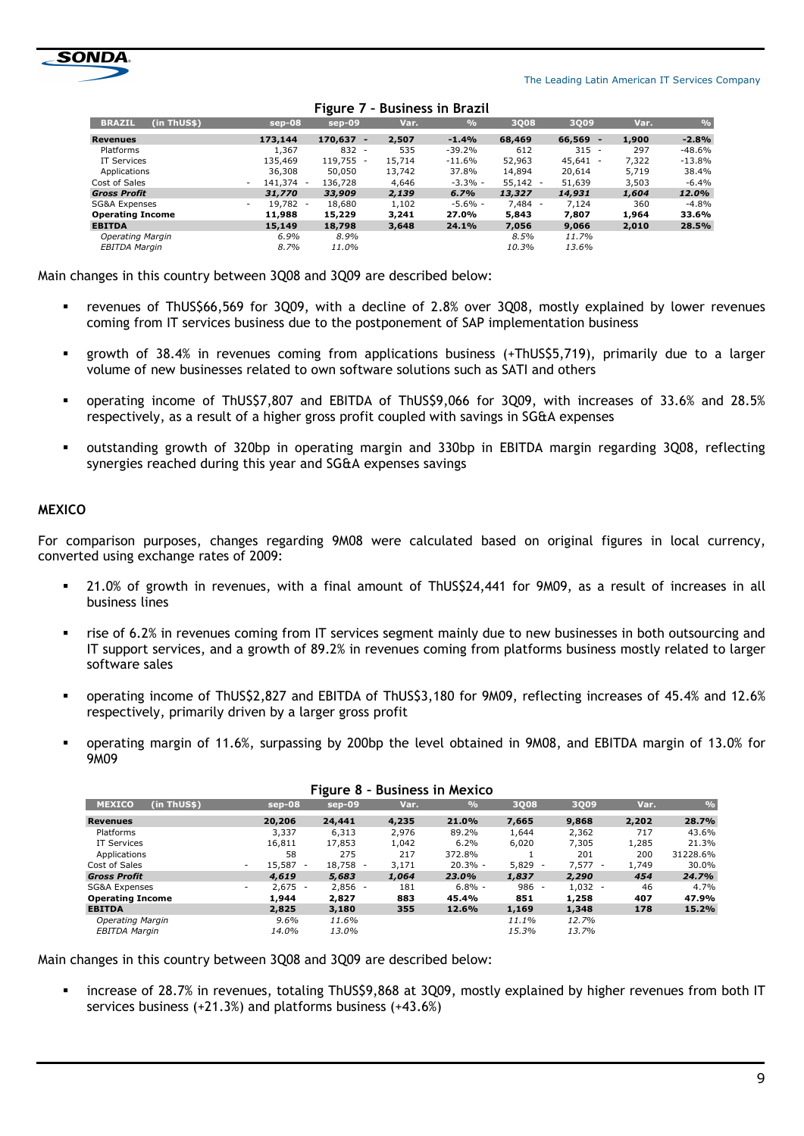

|                              |                     | -                               |        |           |                                   |                                 |       |          |
|------------------------------|---------------------|---------------------------------|--------|-----------|-----------------------------------|---------------------------------|-------|----------|
| (in ThUS\$)<br><b>BRAZIL</b> | $sep-08$            | sep-09                          | Var.   | 9/6       | <b>3Q08</b>                       | 3Q09                            | Var.  | 9/6      |
| Revenues                     | 173,144             | 170,637<br>$\blacksquare$       | 2,507  | $-1.4%$   | 68,469                            | 66,569<br>-                     | 1,900 | $-2.8%$  |
| Platforms                    | 1,367               | 832<br>$\overline{\phantom{a}}$ | 535    | $-39.2%$  | 612                               | 315<br>$\overline{\phantom{a}}$ | 297   | $-48.6%$ |
| <b>IT Services</b>           | 135,469             | 119,755                         | 15,714 | $-11.6%$  | 52,963                            | 45,641                          | 7.322 | $-13.8%$ |
| Applications                 | 36,308              | 50,050                          | 13,742 | 37.8%     | 14,894                            | 20,614                          | 5.719 | 38.4%    |
| Cost of Sales                | 141,374 -<br>$\sim$ | 136,728                         | 4,646  | $-3.3% -$ | 55,142<br>٠                       | 51,639                          | 3,503 | $-6.4%$  |
| <b>Gross Profit</b>          | 31,770              | 33,909                          | 2,139  | 6.7%      | 13,327                            | 14,931                          | 1,604 | 12.0%    |
| SG&A Expenses                | 19,782 -<br>$\sim$  | 18,680                          | 1,102  | $-5.6% -$ | 7,484<br>$\overline{\phantom{a}}$ | 7,124                           | 360   | $-4.8%$  |
| <b>Operating Income</b>      | 11,988              | 15,229                          | 3,241  | 27.0%     | 5,843                             | 7,807                           | 1,964 | 33.6%    |
| <b>EBITDA</b>                | 15,149              | 18,798                          | 3,648  | 24.1%     | 7,056                             | 9,066                           | 2,010 | 28.5%    |
| <b>Operating Margin</b>      | 6.9%                | 8.9%                            |        |           | 8.5%                              | 11.7%                           |       |          |
| <b>EBITDA Margin</b>         | 8.7%                | 11.0%                           |        |           | 10.3%                             | 13.6%                           |       |          |
|                              |                     |                                 |        |           |                                   |                                 |       |          |

#### **Figure 7 – Business in Brazil**

Main changes in this country between 3Q08 and 3Q09 are described below:

- revenues of ThUS\$66,569 for 3Q09, with a decline of 2.8% over 3Q08, mostly explained by lower revenues coming from IT services business due to the postponement of SAP implementation business
- growth of 38.4% in revenues coming from applications business (+ThUS\$5,719), primarily due to a larger volume of new businesses related to own software solutions such as SATI and others
- operating income of ThUS\$7,807 and EBITDA of ThUS\$9,066 for 3Q09, with increases of 33.6% and 28.5% respectively, as a result of a higher gross profit coupled with savings in SG&A expenses
- outstanding growth of 320bp in operating margin and 330bp in EBITDA margin regarding 3Q08, reflecting synergies reached during this year and SG&A expenses savings

## **MEXICO**

For comparison purposes, changes regarding 9M08 were calculated based on original figures in local currency, converted using exchange rates of 2009:

- 21.0% of growth in revenues, with a final amount of ThUS\$24,441 for 9M09, as a result of increases in all business lines
- rise of 6.2% in revenues coming from IT services segment mainly due to new businesses in both outsourcing and IT support services, and a growth of 89.2% in revenues coming from platforms business mostly related to larger software sales
- operating income of ThUS\$2,827 and EBITDA of ThUS\$3,180 for 9M09, reflecting increases of 45.4% and 12.6% respectively, primarily driven by a larger gross profit
- operating margin of 11.6%, surpassing by 200bp the level obtained in 9M08, and EBITDA margin of 13.0% for 9M09

|                              |                                              | ----                               |       |               |                                   |           |       |               |
|------------------------------|----------------------------------------------|------------------------------------|-------|---------------|-----------------------------------|-----------|-------|---------------|
| <b>MEXICO</b><br>(in ThUS\$) | sep-08                                       | $sep-09$                           | Var.  | $\frac{1}{2}$ | <b>3Q08</b>                       | 3Q09      | Var.  | $\frac{0}{c}$ |
| <b>Revenues</b>              | 20,206                                       | 24,441                             | 4,235 | 21.0%         | 7,665                             | 9,868     | 2,202 | 28.7%         |
| Platforms                    | 3,337                                        | 6,313                              | 2.976 | 89.2%         | 1.644                             | 2,362     | 717   | 43.6%         |
| IT Services                  | 16,811                                       | 17,853                             | 1,042 | 6.2%          | 6,020                             | 7,305     | 1,285 | 21.3%         |
| Applications                 | 58                                           | 275                                | 217   | 372.8%        |                                   | 201       | 200   | 31228.6%      |
| Cost of Sales                | 15,587<br>$\overline{\phantom{a}}$<br>$\sim$ | 18,758<br>$\overline{\phantom{a}}$ | 3,171 | $20.3% -$     | 5,829<br>$\overline{\phantom{a}}$ | $7.577 -$ | 1,749 | 30.0%         |
| <b>Gross Profit</b>          | 4,619                                        | 5,683                              | 1,064 | 23.0%         | 1,837                             | 2,290     | 454   | 24.7%         |
| SG&A Expenses                | 2,675<br>$\overline{\phantom{a}}$<br>$\sim$  | $2,856 -$                          | 181   | $6.8\%$ -     | 986<br>$\overline{\phantom{a}}$   | $1,032 -$ | 46    | 4.7%          |
| <b>Operating Income</b>      | 1,944                                        | 2,827                              | 883   | 45.4%         | 851                               | 1,258     | 407   | 47.9%         |
| <b>EBITDA</b>                | 2,825                                        | 3,180                              | 355   | 12.6%         | 1,169                             | 1,348     | 178   | 15.2%         |
| <b>Operating Margin</b>      | $9.6\%$                                      | 11.6%                              |       |               | 11.1%                             | 12.7%     |       |               |
| <b>EBITDA Margin</b>         | 14.0%                                        | 13.0%                              |       |               | 15.3%                             | 13.7%     |       |               |

#### **Figure 8 – Business in Mexico**

Main changes in this country between 3Q08 and 3Q09 are described below:

 increase of 28.7% in revenues, totaling ThUS\$9,868 at 3Q09, mostly explained by higher revenues from both IT services business (+21.3%) and platforms business (+43.6%)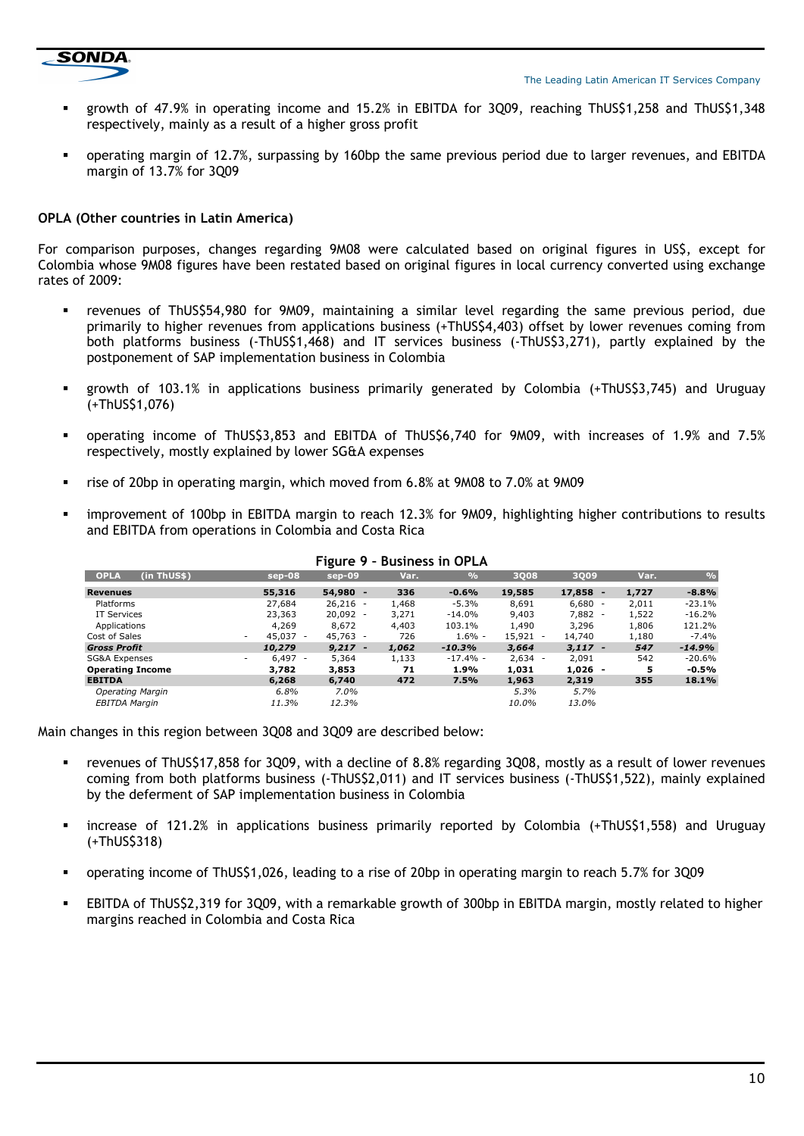

- growth of 47.9% in operating income and 15.2% in EBITDA for 3Q09, reaching ThUS\$1,258 and ThUS\$1,348 respectively, mainly as a result of a higher gross profit
- operating margin of 12.7%, surpassing by 160bp the same previous period due to larger revenues, and EBITDA margin of 13.7% for 3Q09

## **OPLA (Other countries in Latin America)**

For comparison purposes, changes regarding 9M08 were calculated based on original figures in US\$, except for Colombia whose 9M08 figures have been restated based on original figures in local currency converted using exchange rates of 2009:

- revenues of ThUS\$54,980 for 9M09, maintaining a similar level regarding the same previous period, due primarily to higher revenues from applications business (+ThUS\$4,403) offset by lower revenues coming from both platforms business (-ThUS\$1,468) and IT services business (-ThUS\$3,271), partly explained by the postponement of SAP implementation business in Colombia
- growth of 103.1% in applications business primarily generated by Colombia (+ThUS\$3,745) and Uruguay (+ThUS\$1,076)
- operating income of ThUS\$3,853 and EBITDA of ThUS\$6,740 for 9M09, with increases of 1.9% and 7.5% respectively, mostly explained by lower SG&A expenses
- rise of 20bp in operating margin, which moved from 6.8% at 9M08 to 7.0% at 9M09
- improvement of 100bp in EBITDA margin to reach 12.3% for 9M09, highlighting higher contributions to results and EBITDA from operations in Colombia and Costa Rica

| (in ThUS\$)<br><b>OPLA</b> | $sep-08$                              | $sep-09$   | Var.  | $\%$       | 3008       | 3Q09         | Var.  | $\frac{0}{0}$ |
|----------------------------|---------------------------------------|------------|-------|------------|------------|--------------|-------|---------------|
| <b>Revenues</b>            | 55,316                                | $54.980 -$ | 336   | $-0.6%$    | 19,585     | 17,858<br>u. | 1,727 | $-8.8%$       |
| Platforms                  | 27,684                                | $26,216 -$ | 1,468 | $-5.3%$    | 8,691      | $6,680 -$    | 2,011 | $-23.1%$      |
| IT Services                | 23,363                                | $20,092 -$ | 3,271 | -14.0%     | 9,403      | $7,882 -$    | 1,522 | $-16.2%$      |
| Applications               | 4,269                                 | 8,672      | 4,403 | 103.1%     | 1,490      | 3,296        | 1,806 | 121.2%        |
| Cost of Sales              | 45,037 -<br>۰                         | $45.763 -$ | 726   | $1.6% -$   | $15,921 -$ | 14,740       | 1,180 | $-7.4%$       |
| <b>Gross Profit</b>        | 10,279                                | $9,217 -$  | 1,062 | $-10.3%$   | 3,664      | $3,117 -$    | 547   | $-14.9%$      |
| SG&A Expenses              | $6.497 -$<br>$\overline{\phantom{a}}$ | 5,364      | 1,133 | $-17.4%$ - | $2,634 -$  | 2,091        | 542   | $-20.6%$      |
| <b>Operating Income</b>    | 3.782                                 | 3,853      | 71    | 1.9%       | 1,031      | $1,026 -$    | 5     | $-0.5%$       |
| <b>EBITDA</b>              | 6,268                                 | 6,740      | 472   | 7.5%       | 1,963      | 2,319        | 355   | 18.1%         |
| <b>Operating Margin</b>    | 6.8%                                  | $7.0\%$    |       |            | 5.3%       | 5.7%         |       |               |
| <b>EBITDA Margin</b>       | 11.3%                                 | 12.3%      |       |            | 10.0%      | 13.0%        |       |               |

#### **Figure 9 – Business in OPLA**

Main changes in this region between 3Q08 and 3Q09 are described below:

- revenues of ThUS\$17,858 for 3Q09, with a decline of 8.8% regarding 3Q08, mostly as a result of lower revenues coming from both platforms business (-ThUS\$2,011) and IT services business (-ThUS\$1,522), mainly explained by the deferment of SAP implementation business in Colombia
- increase of 121.2% in applications business primarily reported by Colombia (+ThUS\$1,558) and Uruguay (+ThUS\$318)
- operating income of ThUS\$1,026, leading to a rise of 20bp in operating margin to reach 5.7% for 3Q09
- EBITDA of ThUS\$2,319 for 3Q09, with a remarkable growth of 300bp in EBITDA margin, mostly related to higher margins reached in Colombia and Costa Rica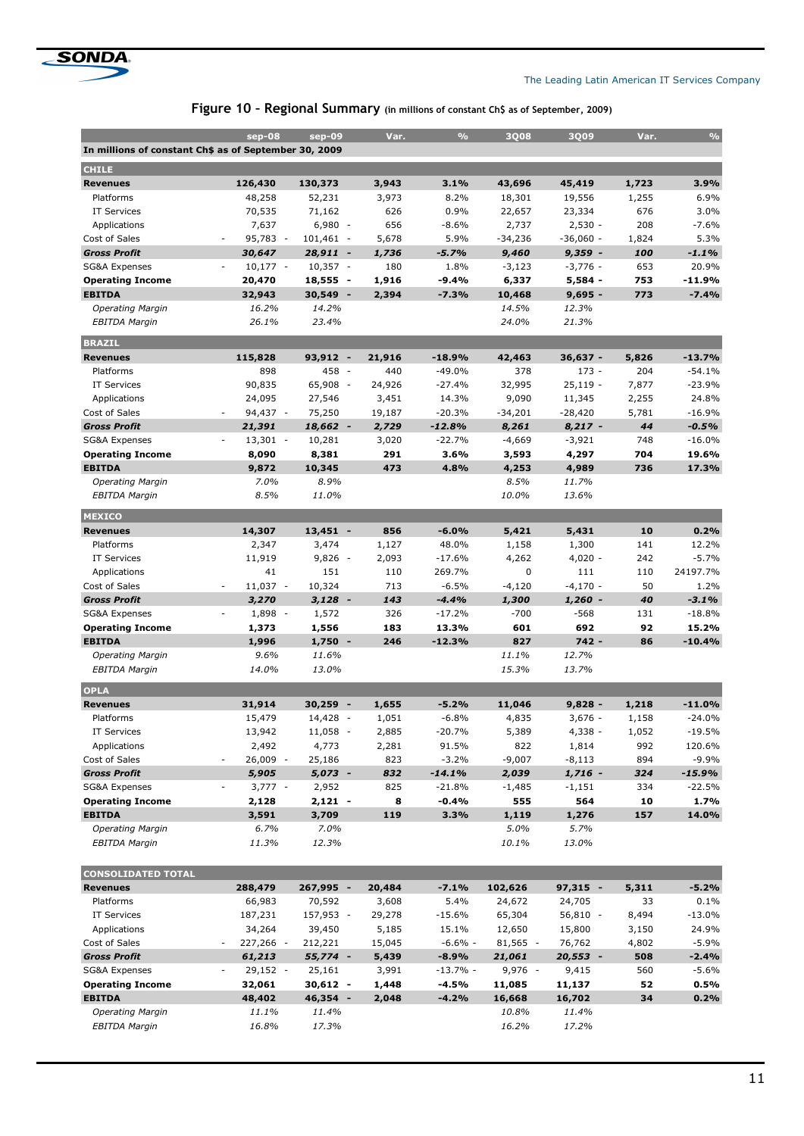

|  | Figure 10 - Regional Summary (in millions of constant Ch\$ as of September, 2009) |
|--|-----------------------------------------------------------------------------------|
|--|-----------------------------------------------------------------------------------|

|                                                       |                                          |                          |        | $\frac{0}{0}$ |            |             |       | $\frac{0}{0}$ |
|-------------------------------------------------------|------------------------------------------|--------------------------|--------|---------------|------------|-------------|-------|---------------|
|                                                       | $sep-08$                                 | sep-09                   | Var.   |               | 3008       | 3009        | Var.  |               |
| In millions of constant Ch\$ as of September 30, 2009 |                                          |                          |        |               |            |             |       |               |
| <b>CHILE</b>                                          |                                          |                          |        |               |            |             |       |               |
| <b>Revenues</b>                                       | 126,430                                  | 130,373                  | 3,943  | 3.1%          | 43,696     | 45,419      | 1,723 | 3.9%          |
| Platforms                                             | 48,258                                   | 52,231                   | 3,973  | 8.2%          | 18,301     | 19,556      | 1,255 | 6.9%          |
| <b>IT Services</b>                                    | 70,535                                   | 71,162                   | 626    | 0.9%          | 22,657     | 23,334      | 676   | 3.0%          |
| Applications                                          | 7,637                                    | $6,980 -$                | 656    | $-8.6%$       | 2,737      | $2,530 -$   | 208   | $-7.6%$       |
| Cost of Sales                                         | 95,783 -<br>÷,                           | $101,461 -$              | 5,678  | 5.9%          | $-34,236$  | $-36,060 -$ | 1,824 | 5.3%          |
| <b>Gross Profit</b>                                   | 30,647                                   | $28,911 -$               | 1,736  | $-5.7%$       | 9,460      | $9,359 -$   | 100   | $-1.1%$       |
| <b>SG&amp;A Expenses</b>                              | $10,177 -$<br>$\overline{\phantom{a}}$   | $10,357 -$               | 180    | 1.8%          | $-3,123$   | $-3,776 -$  | 653   | 20.9%         |
| <b>Operating Income</b>                               | 20,470                                   | $18,555 -$               | 1,916  | $-9.4%$       | 6,337      | $5,584 -$   | 753   | $-11.9%$      |
| <b>EBITDA</b>                                         | 32,943                                   | $30,549 -$               | 2,394  | $-7.3%$       | 10,468     | $9.695 -$   | 773   | $-7.4%$       |
| <b>Operating Margin</b>                               | 16.2%                                    | 14.2%                    |        |               | 14.5%      | 12.3%       |       |               |
| <b>EBITDA Margin</b>                                  | 26.1%                                    | 23.4%                    |        |               | 24.0%      | 21.3%       |       |               |
|                                                       |                                          |                          |        |               |            |             |       |               |
| <b>BRAZIL</b>                                         |                                          |                          |        |               |            |             |       |               |
| <b>Revenues</b>                                       | 115,828                                  | $93,912 -$               | 21,916 | $-18.9%$      | 42,463     | $36,637 -$  | 5,826 | $-13.7%$      |
| Platforms                                             | 898                                      | 458 -                    | 440    | $-49.0%$      | 378        | $173 -$     | 204   | $-54.1%$      |
| <b>IT Services</b>                                    | 90,835                                   | 65,908 -                 | 24,926 | $-27.4%$      | 32,995     | $25,119 -$  | 7,877 | $-23.9%$      |
| Applications                                          | 24,095                                   | 27,546                   | 3,451  | 14.3%         | 9,090      | 11,345      | 2,255 | 24.8%         |
| Cost of Sales                                         | 94,437 -                                 | 75,250                   | 19,187 | $-20.3%$      | $-34,201$  | $-28,420$   | 5,781 | $-16.9%$      |
| <b>Gross Profit</b>                                   | 21,391                                   | 18,662 -                 | 2,729  | $-12.8%$      | 8,261      | $8,217 -$   | 44    | $-0.5%$       |
| <b>SG&amp;A Expenses</b>                              | $13,301 -$                               | 10,281                   | 3,020  | $-22.7%$      | $-4,669$   | $-3,921$    | 748   | $-16.0%$      |
| <b>Operating Income</b>                               | 8,090                                    | 8,381                    | 291    | 3.6%          | 3,593      | 4,297       | 704   | 19.6%         |
| <b>EBITDA</b>                                         | 9,872                                    | 10,345                   | 473    | 4.8%          | 4,253      | 4,989       | 736   | 17.3%         |
| <b>Operating Margin</b>                               | 7.0%                                     | 8.9%                     |        |               | 8.5%       | 11.7%       |       |               |
| <b>EBITDA Margin</b>                                  | 8.5%                                     | 11.0%                    |        |               | 10.0%      | 13.6%       |       |               |
|                                                       |                                          |                          |        |               |            |             |       |               |
| <b>MEXICO</b>                                         |                                          |                          |        |               |            |             |       |               |
| <b>Revenues</b>                                       | 14,307                                   | $13,451 -$               | 856    | $-6.0%$       | 5,421      | 5,431       | 10    | 0.2%          |
| Platforms                                             | 2,347                                    | 3,474                    | 1,127  | 48.0%         | 1,158      | 1,300       | 141   | 12.2%         |
| IT Services                                           | 11,919                                   | $9,826 -$                | 2,093  | $-17.6%$      | 4,262      | $4,020 -$   | 242   | $-5.7%$       |
| Applications                                          | 41                                       | 151                      | 110    | 269.7%        | 0          | 111         | 110   | 24197.7%      |
| Cost of Sales                                         | $11,037 -$<br>÷,                         | 10,324                   | 713    | $-6.5%$       | $-4,120$   | $-4,170 -$  | 50    | 1.2%          |
| <b>Gross Profit</b>                                   | 3,270                                    | $3,128 -$                | 143    | $-4.4%$       | 1,300      | $1,260 -$   | 40    | $-3.1%$       |
| <b>SG&amp;A Expenses</b>                              | $1,898 -$<br>$\overline{\phantom{a}}$    | 1,572                    | 326    | $-17.2%$      | $-700$     | $-568$      | 131   | $-18.8%$      |
| <b>Operating Income</b>                               | 1,373                                    | 1,556                    | 183    | 13.3%         | 601        | 692         | 92    | 15.2%         |
| <b>EBITDA</b>                                         | 1,996                                    | $1,750 -$                | 246    | $-12.3%$      | 827        | $742 -$     | 86    | $-10.4%$      |
| <b>Operating Margin</b>                               | 9.6%                                     | 11.6%                    |        |               | 11.1%      | 12.7%       |       |               |
| <b>EBITDA Margin</b>                                  | 14.0%                                    | 13.0%                    |        |               | 15.3%      | 13.7%       |       |               |
| <b>OPLA</b>                                           |                                          |                          |        |               |            |             |       |               |
| <b>Revenues</b>                                       | 31,914                                   | 30,259<br>$\blacksquare$ | 1,655  | $-5.2%$       |            | $9,828 -$   |       | $-11.0%$      |
| Platforms                                             |                                          |                          |        | $-6.8%$       | 11,046     |             | 1,218 | $-24.0%$      |
|                                                       | 15,479                                   | 14,428 -                 | 1,051  |               | 4,835      | $3,676 -$   | 1,158 |               |
| IT Services                                           | 13,942                                   | 11,058 -                 | 2,885  | -20.7%        | 5,389      | 4,338 -     | 1,052 | $-19.5%$      |
| Applications                                          | 2,492                                    | 4,773                    | 2,281  | 91.5%         | 822        | 1,814       | 992   | 120.6%        |
| Cost of Sales                                         | 26,009 -<br>$\qquad \qquad \blacksquare$ | 25,186                   | 823    | $-3.2%$       | $-9,007$   | $-8,113$    | 894   | $-9.9%$       |
| <b>Gross Profit</b>                                   | 5,905                                    | 5,073 -                  | 832    | $-14.1%$      | 2,039      | 1,716 -     | 324   | $-15.9%$      |
| SG&A Expenses                                         | $3,777 -$                                | 2,952                    | 825    | $-21.8%$      | $-1,485$   | -1,151      | 334   | $-22.5%$      |
| <b>Operating Income</b>                               | 2,128                                    | 2,121 -                  | 8      | $-0.4%$       | 555        | 564         | 10    | 1.7%          |
| <b>EBITDA</b>                                         | 3,591                                    | 3,709                    | 119    | 3.3%          | 1,119      | 1,276       | 157   | 14.0%         |
| <b>Operating Margin</b>                               | 6.7%                                     | 7.0%                     |        |               | 5.0%       | 5.7%        |       |               |
| <b>EBITDA Margin</b>                                  | 11.3%                                    | 12.3%                    |        |               | 10.1%      | 13.0%       |       |               |
| <b>CONSOLIDATED TOTAL</b>                             |                                          |                          |        |               |            |             |       |               |
| <b>Revenues</b>                                       | 288,479                                  | 267,995 -                | 20,484 | $-7.1%$       | 102,626    | 97,315 -    | 5,311 | $-5.2%$       |
| Platforms                                             | 66,983                                   | 70,592                   | 3,608  | 5.4%          | 24,672     | 24,705      | 33    | $0.1\%$       |
| IT Services                                           | 187,231                                  | 157,953 -                | 29,278 | $-15.6%$      | 65,304     | 56,810 -    | 8,494 | $-13.0%$      |
| Applications                                          | 34,264                                   | 39,450                   | 5,185  | 15.1%         | 12,650     | 15,800      | 3,150 | 24.9%         |
| Cost of Sales                                         | 227,266 -<br>÷,                          | 212,221                  | 15,045 | $-6.6%$ -     | $81,565 -$ | 76,762      | 4,802 | $-5.9%$       |
| <b>Gross Profit</b>                                   | 61,213                                   | 55,774 -                 | 5,439  | $-8.9%$       | 21,061     | 20,553 -    | 508   | $-2.4%$       |
| SG&A Expenses                                         |                                          |                          |        | -13.7% -      | 9,976 -    |             | 560   | $-5.6%$       |
|                                                       | 29,152 -                                 | 25,161                   | 3,991  |               |            | 9,415       |       |               |
| <b>Operating Income</b>                               | 32,061                                   | 30,612 -                 | 1,448  | $-4.5%$       | 11,085     | 11,137      | 52    | 0.5%          |
| <b>EBITDA</b>                                         | 48,402                                   | 46,354 -                 | 2,048  | $-4.2%$       | 16,668     | 16,702      | 34    | 0.2%          |
| <b>Operating Margin</b>                               | 11.1%                                    | 11.4%                    |        |               | 10.8%      | 11.4%       |       |               |
| <b>EBITDA Margin</b>                                  | 16.8%                                    | 17.3%                    |        |               | 16.2%      | 17.2%       |       |               |